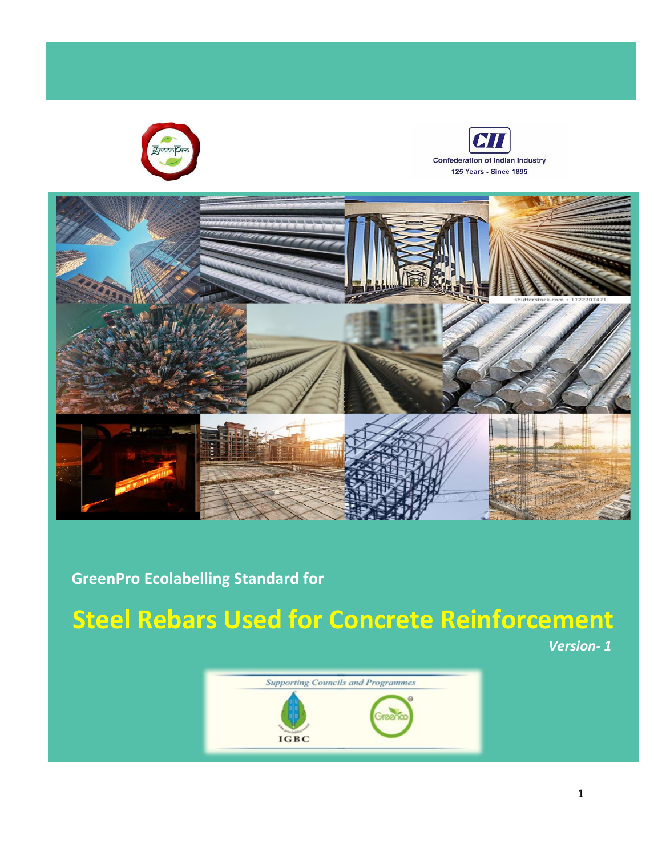





 **GreenPro Ecolabelling Standard for** 

# **Steel Rebars Used for Concrete Reinforcement**

 *Version- 1*

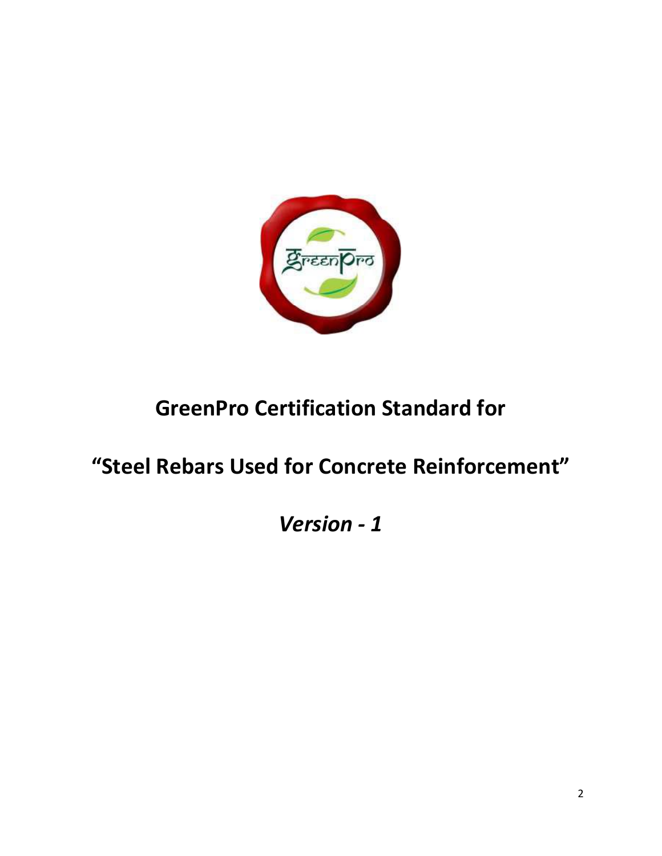

# **GreenPro Certification Standard for**

# **"Steel Rebars Used for Concrete Reinforcement"**

# *Version - 1*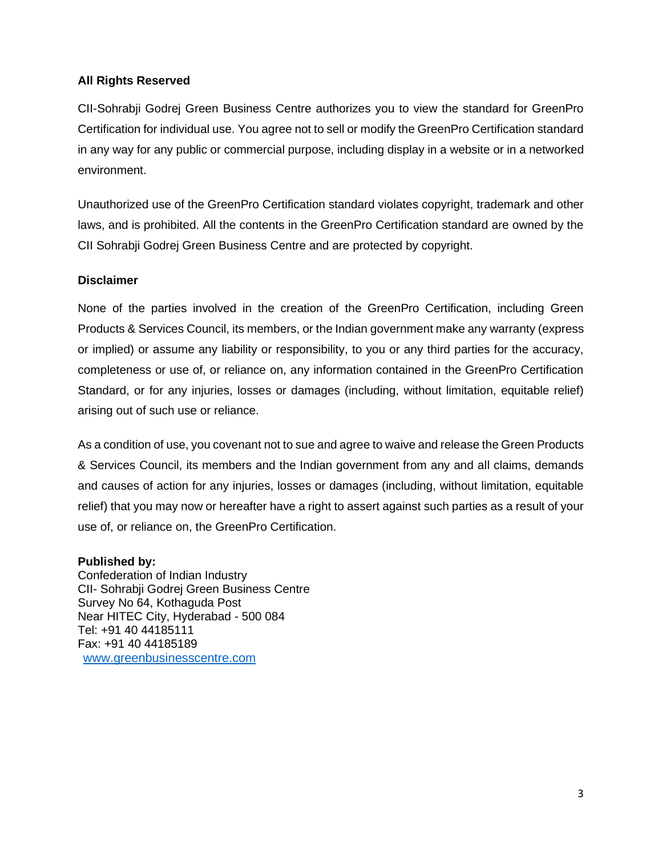#### **All Rights Reserved**

CII-Sohrabji Godrej Green Business Centre authorizes you to view the standard for GreenPro Certification for individual use. You agree not to sell or modify the GreenPro Certification standard in any way for any public or commercial purpose, including display in a website or in a networked environment.

Unauthorized use of the GreenPro Certification standard violates copyright, trademark and other laws, and is prohibited. All the contents in the GreenPro Certification standard are owned by the CII Sohrabji Godrej Green Business Centre and are protected by copyright.

#### **Disclaimer**

None of the parties involved in the creation of the GreenPro Certification, including Green Products & Services Council, its members, or the Indian government make any warranty (express or implied) or assume any liability or responsibility, to you or any third parties for the accuracy, completeness or use of, or reliance on, any information contained in the GreenPro Certification Standard, or for any injuries, losses or damages (including, without limitation, equitable relief) arising out of such use or reliance.

As a condition of use, you covenant not to sue and agree to waive and release the Green Products & Services Council, its members and the Indian government from any and all claims, demands and causes of action for any injuries, losses or damages (including, without limitation, equitable relief) that you may now or hereafter have a right to assert against such parties as a result of your use of, or reliance on, the GreenPro Certification.

#### **Published by:**

Confederation of Indian Industry CII- Sohrabji Godrej Green Business Centre Survey No 64, Kothaguda Post Near HITEC City, Hyderabad - 500 084 Tel: +91 40 44185111 Fax: +91 40 44185189 [www.greenbusinesscentre.com](http://www.greenbusinesscentre.com/)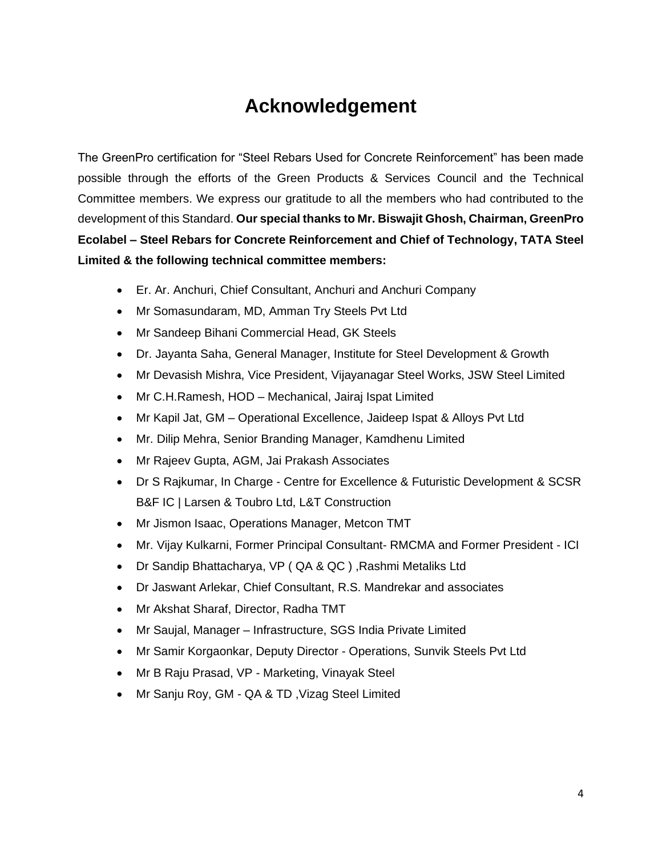## **Acknowledgement**

The GreenPro certification for "Steel Rebars Used for Concrete Reinforcement" has been made possible through the efforts of the Green Products & Services Council and the Technical Committee members. We express our gratitude to all the members who had contributed to the development of this Standard. **Our special thanks to Mr. Biswajit Ghosh, Chairman, GreenPro Ecolabel – Steel Rebars for Concrete Reinforcement and Chief of Technology, TATA Steel Limited & the following technical committee members:** 

- Er. Ar. Anchuri, Chief Consultant, Anchuri and Anchuri Company
- Mr Somasundaram, MD, Amman Try Steels Pvt Ltd
- Mr Sandeep Bihani Commercial Head, GK Steels
- Dr. Jayanta Saha, General Manager, Institute for Steel Development & Growth
- Mr Devasish Mishra, Vice President, Vijayanagar Steel Works, JSW Steel Limited
- Mr C.H.Ramesh, HOD Mechanical, Jairaj Ispat Limited
- Mr Kapil Jat, GM Operational Excellence, Jaideep Ispat & Alloys Pvt Ltd
- Mr. Dilip Mehra, Senior Branding Manager, Kamdhenu Limited
- Mr Rajeev Gupta, AGM, Jai Prakash Associates
- Dr S Rajkumar, In Charge Centre for Excellence & Futuristic Development & SCSR B&F IC | Larsen & Toubro Ltd, L&T Construction
- Mr Jismon Isaac, Operations Manager, Metcon TMT
- Mr. Vijay Kulkarni, Former Principal Consultant- RMCMA and Former President ICI
- Dr Sandip Bhattacharya, VP ( QA & QC ) ,Rashmi Metaliks Ltd
- Dr Jaswant Arlekar, Chief Consultant, R.S. Mandrekar and associates
- Mr Akshat Sharaf, Director, Radha TMT
- Mr Saujal, Manager Infrastructure, SGS India Private Limited
- Mr Samir Korgaonkar, Deputy Director Operations, Sunvik Steels Pvt Ltd
- Mr B Raju Prasad, VP Marketing, Vinayak Steel
- Mr Sanju Roy, GM QA & TD, Vizag Steel Limited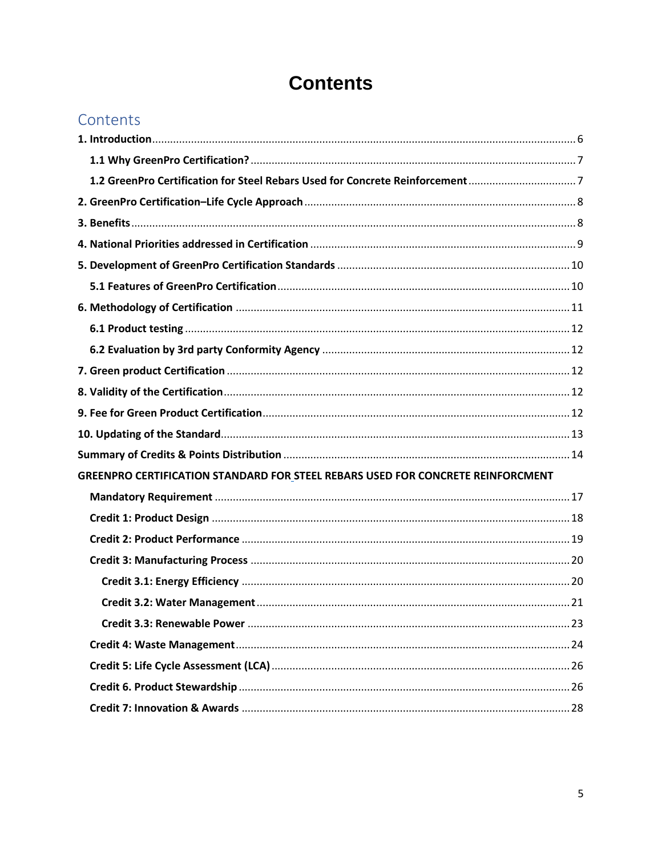# **Contents**

| Contents |  |  |
|----------|--|--|
|          |  |  |

| GREENPRO CERTIFICATION STANDARD FOR STEEL REBARS USED FOR CONCRETE REINFORCMENT |  |
|---------------------------------------------------------------------------------|--|
|                                                                                 |  |
|                                                                                 |  |
|                                                                                 |  |
|                                                                                 |  |
|                                                                                 |  |
|                                                                                 |  |
|                                                                                 |  |
|                                                                                 |  |
|                                                                                 |  |
|                                                                                 |  |
|                                                                                 |  |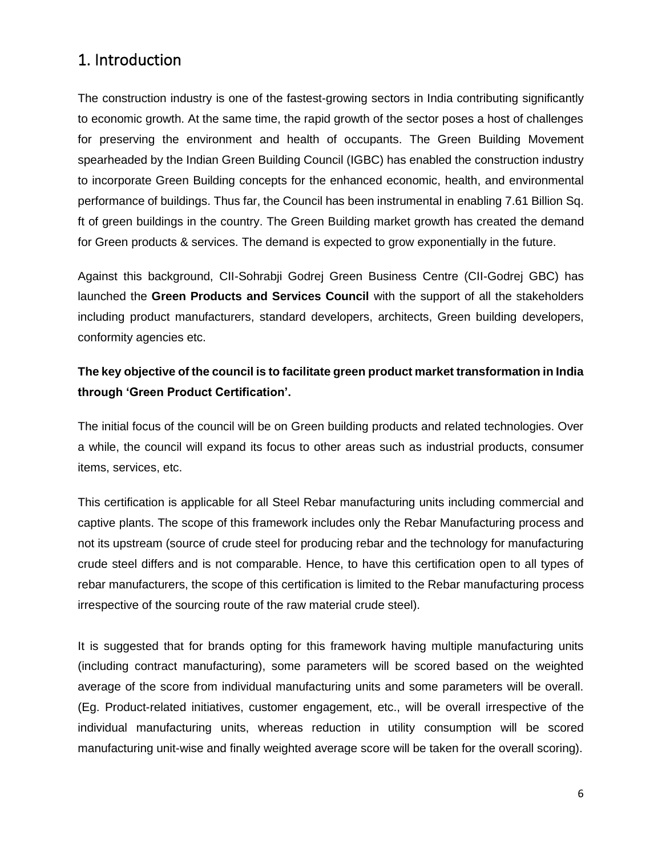### <span id="page-5-0"></span>1. Introduction

The construction industry is one of the fastest-growing sectors in India contributing significantly to economic growth. At the same time, the rapid growth of the sector poses a host of challenges for preserving the environment and health of occupants. The Green Building Movement spearheaded by the Indian Green Building Council (IGBC) has enabled the construction industry to incorporate Green Building concepts for the enhanced economic, health, and environmental performance of buildings. Thus far, the Council has been instrumental in enabling 7.61 Billion Sq. ft of green buildings in the country. The Green Building market growth has created the demand for Green products & services. The demand is expected to grow exponentially in the future.

Against this background, CII-Sohrabji Godrej Green Business Centre (CII-Godrej GBC) has launched the **Green Products and Services Council** with the support of all the stakeholders including product manufacturers, standard developers, architects, Green building developers, conformity agencies etc.

### **The key objective of the council is to facilitate green product market transformation in India through 'Green Product Certification'.**

The initial focus of the council will be on Green building products and related technologies. Over a while, the council will expand its focus to other areas such as industrial products, consumer items, services, etc.

This certification is applicable for all Steel Rebar manufacturing units including commercial and captive plants. The scope of this framework includes only the Rebar Manufacturing process and not its upstream (source of crude steel for producing rebar and the technology for manufacturing crude steel differs and is not comparable. Hence, to have this certification open to all types of rebar manufacturers, the scope of this certification is limited to the Rebar manufacturing process irrespective of the sourcing route of the raw material crude steel).

It is suggested that for brands opting for this framework having multiple manufacturing units (including contract manufacturing), some parameters will be scored based on the weighted average of the score from individual manufacturing units and some parameters will be overall. (Eg. Product-related initiatives, customer engagement, etc., will be overall irrespective of the individual manufacturing units, whereas reduction in utility consumption will be scored manufacturing unit-wise and finally weighted average score will be taken for the overall scoring).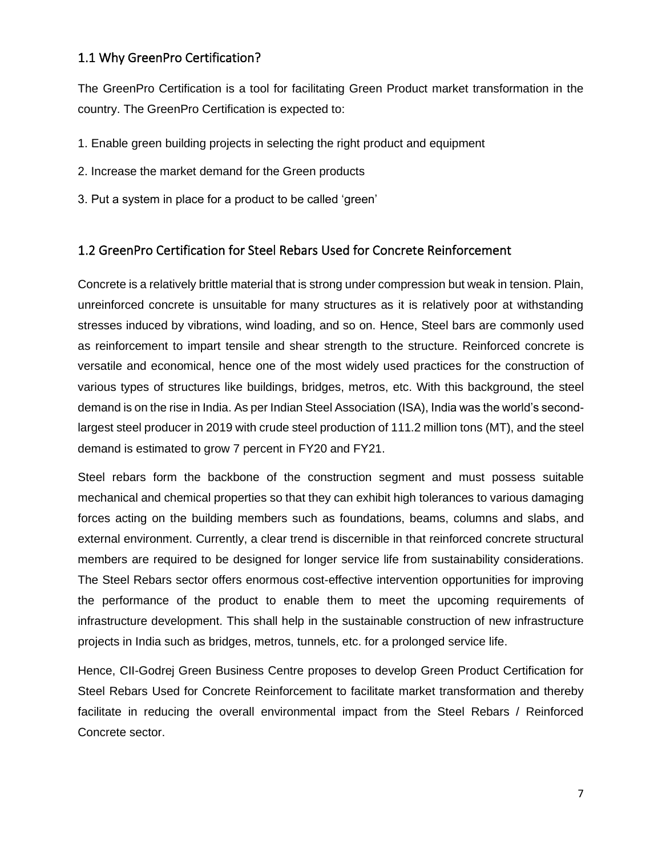### <span id="page-6-0"></span>1.1 Why GreenPro Certification?

The GreenPro Certification is a tool for facilitating Green Product market transformation in the country. The GreenPro Certification is expected to:

- 1. Enable green building projects in selecting the right product and equipment
- 2. Increase the market demand for the Green products
- 3. Put a system in place for a product to be called 'green'

#### <span id="page-6-1"></span>1.2 GreenPro Certification for Steel Rebars Used for Concrete Reinforcement

Concrete is a relatively brittle material that is strong under compression but weak in tension. Plain, unreinforced concrete is unsuitable for many structures as it is relatively poor at withstanding stresses induced by vibrations, wind loading, and so on. Hence, Steel bars are commonly used as reinforcement to impart tensile and shear strength to the structure. Reinforced concrete is versatile and economical, hence one of the most widely used practices for the construction of various types of structures like buildings, bridges, metros, etc. With this background, the steel demand is on the rise in India. As per Indian Steel Association (ISA), India was the world's secondlargest steel producer in 2019 with crude steel production of 111.2 million tons (MT), and the steel demand is estimated to grow 7 percent in FY20 and FY21.

Steel rebars form the backbone of the construction segment and must possess suitable mechanical and chemical properties so that they can exhibit high tolerances to various damaging forces acting on the building members such as foundations, beams, columns and slabs, and external environment. Currently, a clear trend is discernible in that reinforced concrete structural members are required to be designed for longer service life from sustainability considerations. The Steel Rebars sector offers enormous cost-effective intervention opportunities for improving the performance of the product to enable them to meet the upcoming requirements of infrastructure development. This shall help in the sustainable construction of new infrastructure projects in India such as bridges, metros, tunnels, etc. for a prolonged service life.

Hence, CII-Godrej Green Business Centre proposes to develop Green Product Certification for Steel Rebars Used for Concrete Reinforcement to facilitate market transformation and thereby facilitate in reducing the overall environmental impact from the Steel Rebars / Reinforced Concrete sector.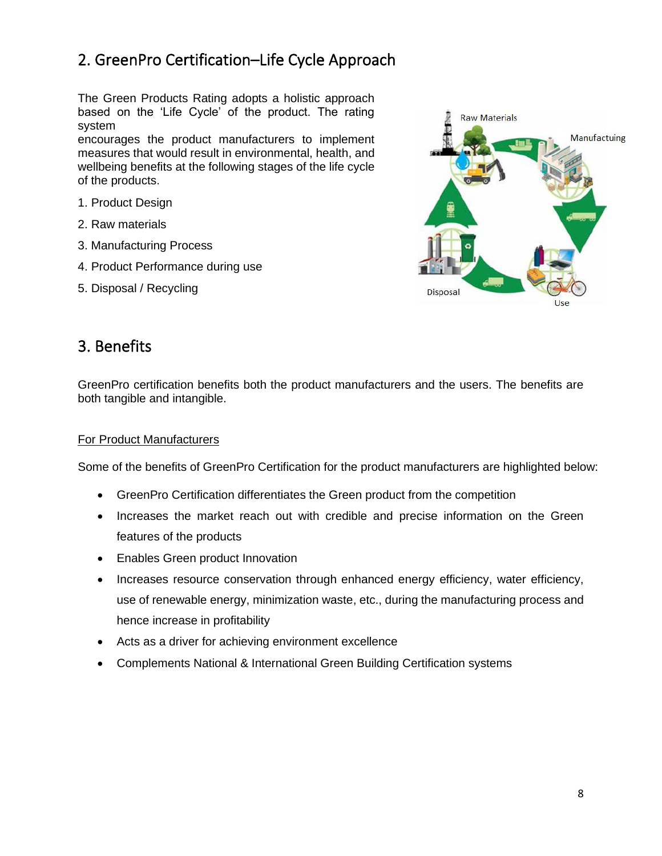### <span id="page-7-0"></span>2. GreenPro Certification–Life Cycle Approach

The Green Products Rating adopts a holistic approach based on the 'Life Cycle' of the product. The rating system

encourages the product manufacturers to implement measures that would result in environmental, health, and wellbeing benefits at the following stages of the life cycle of the products.

- 1. Product Design
- 2. Raw materials
- 3. Manufacturing Process
- 4. Product Performance during use
- 5. Disposal / Recycling



### <span id="page-7-1"></span>3. Benefits

GreenPro certification benefits both the product manufacturers and the users. The benefits are both tangible and intangible.

#### For Product Manufacturers

Some of the benefits of GreenPro Certification for the product manufacturers are highlighted below:

- GreenPro Certification differentiates the Green product from the competition
- Increases the market reach out with credible and precise information on the Green features of the products
- Enables Green product Innovation
- Increases resource conservation through enhanced energy efficiency, water efficiency, use of renewable energy, minimization waste, etc., during the manufacturing process and hence increase in profitability
- Acts as a driver for achieving environment excellence
- Complements National & International Green Building Certification systems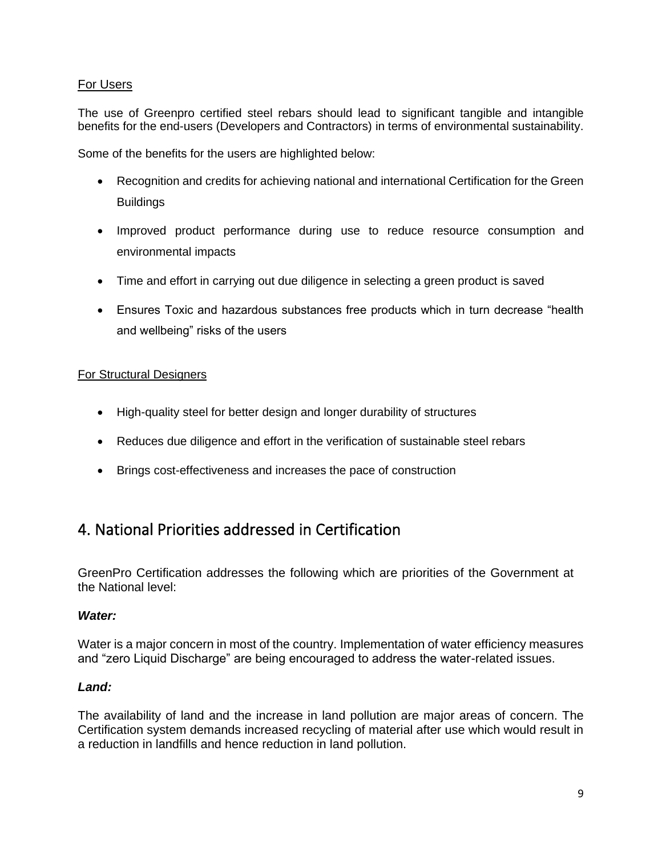#### For Users

The use of Greenpro certified steel rebars should lead to significant tangible and intangible benefits for the end-users (Developers and Contractors) in terms of environmental sustainability.

Some of the benefits for the users are highlighted below:

- Recognition and credits for achieving national and international Certification for the Green **Buildings**
- Improved product performance during use to reduce resource consumption and environmental impacts
- Time and effort in carrying out due diligence in selecting a green product is saved
- Ensures Toxic and hazardous substances free products which in turn decrease "health and wellbeing" risks of the users

#### For Structural Designers

- High-quality steel for better design and longer durability of structures
- Reduces due diligence and effort in the verification of sustainable steel rebars
- Brings cost-effectiveness and increases the pace of construction

### <span id="page-8-0"></span>4. National Priorities addressed in Certification

GreenPro Certification addresses the following which are priorities of the Government at the National level:

#### *Water:*

Water is a major concern in most of the country. Implementation of water efficiency measures and "zero Liquid Discharge" are being encouraged to address the water-related issues.

#### *Land:*

The availability of land and the increase in land pollution are major areas of concern. The Certification system demands increased recycling of material after use which would result in a reduction in landfills and hence reduction in land pollution.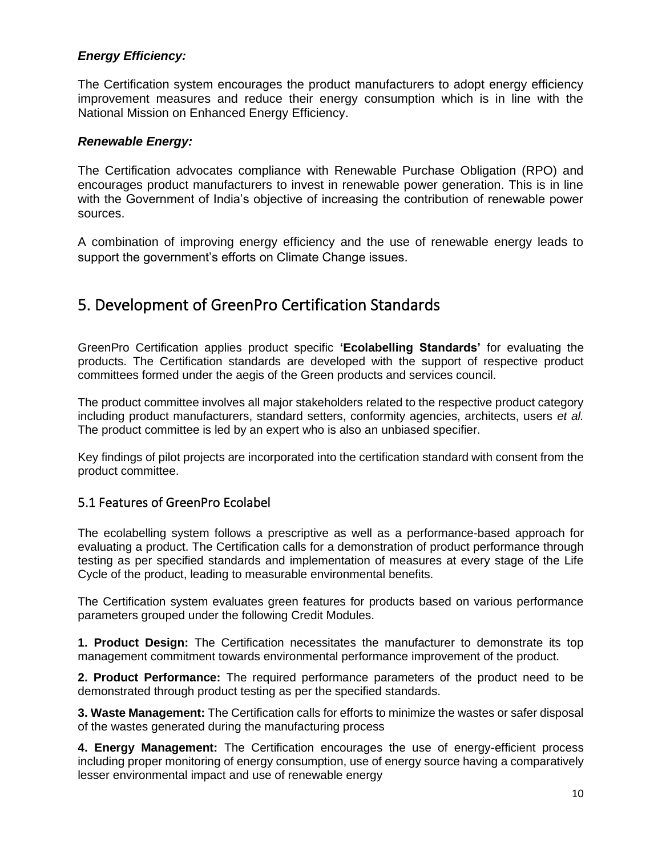#### *Energy Efficiency:*

The Certification system encourages the product manufacturers to adopt energy efficiency improvement measures and reduce their energy consumption which is in line with the National Mission on Enhanced Energy Efficiency.

#### *Renewable Energy:*

The Certification advocates compliance with Renewable Purchase Obligation (RPO) and encourages product manufacturers to invest in renewable power generation. This is in line with the Government of India's objective of increasing the contribution of renewable power sources.

A combination of improving energy efficiency and the use of renewable energy leads to support the government's efforts on Climate Change issues.

### <span id="page-9-0"></span>5. Development of GreenPro Certification Standards

GreenPro Certification applies product specific **'Ecolabelling Standards'** for evaluating the products. The Certification standards are developed with the support of respective product committees formed under the aegis of the Green products and services council.

The product committee involves all major stakeholders related to the respective product category including product manufacturers, standard setters, conformity agencies, architects, users *et al.*  The product committee is led by an expert who is also an unbiased specifier.

Key findings of pilot projects are incorporated into the certification standard with consent from the product committee.

#### <span id="page-9-1"></span>5.1 Features of GreenPro Ecolabel

The ecolabelling system follows a prescriptive as well as a performance-based approach for evaluating a product. The Certification calls for a demonstration of product performance through testing as per specified standards and implementation of measures at every stage of the Life Cycle of the product, leading to measurable environmental benefits.

The Certification system evaluates green features for products based on various performance parameters grouped under the following Credit Modules.

**1. Product Design:** The Certification necessitates the manufacturer to demonstrate its top management commitment towards environmental performance improvement of the product.

**2. Product Performance:** The required performance parameters of the product need to be demonstrated through product testing as per the specified standards.

**3. Waste Management:** The Certification calls for efforts to minimize the wastes or safer disposal of the wastes generated during the manufacturing process

**4. Energy Management:** The Certification encourages the use of energy-efficient process including proper monitoring of energy consumption, use of energy source having a comparatively lesser environmental impact and use of renewable energy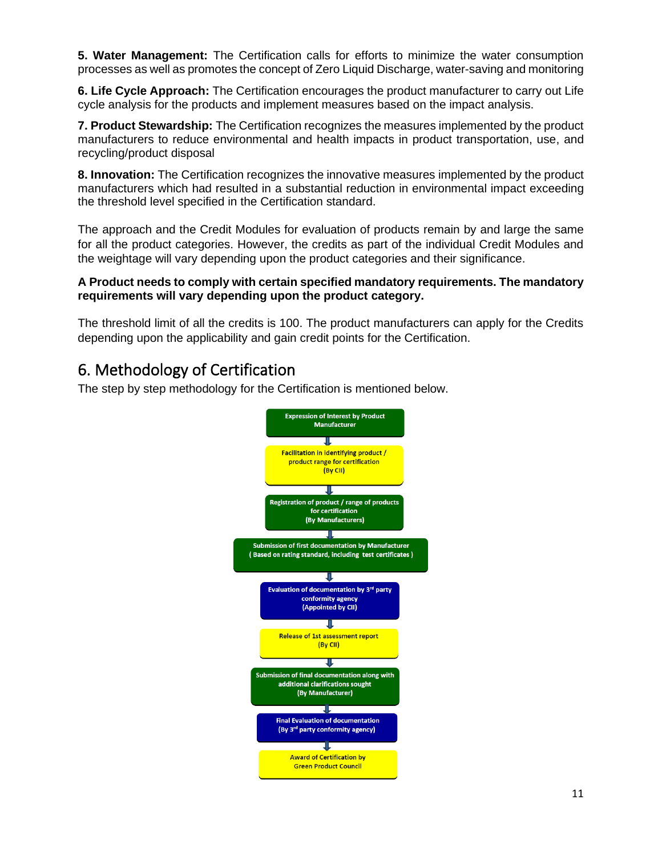**5. Water Management:** The Certification calls for efforts to minimize the water consumption processes as well as promotes the concept of Zero Liquid Discharge, water-saving and monitoring

**6. Life Cycle Approach:** The Certification encourages the product manufacturer to carry out Life cycle analysis for the products and implement measures based on the impact analysis.

**7. Product Stewardship:** The Certification recognizes the measures implemented by the product manufacturers to reduce environmental and health impacts in product transportation, use, and recycling/product disposal

**8. Innovation:** The Certification recognizes the innovative measures implemented by the product manufacturers which had resulted in a substantial reduction in environmental impact exceeding the threshold level specified in the Certification standard.

The approach and the Credit Modules for evaluation of products remain by and large the same for all the product categories. However, the credits as part of the individual Credit Modules and the weightage will vary depending upon the product categories and their significance.

#### **A Product needs to comply with certain specified mandatory requirements. The mandatory requirements will vary depending upon the product category.**

The threshold limit of all the credits is 100. The product manufacturers can apply for the Credits depending upon the applicability and gain credit points for the Certification.

### <span id="page-10-0"></span>6. Methodology of Certification

The step by step methodology for the Certification is mentioned below.

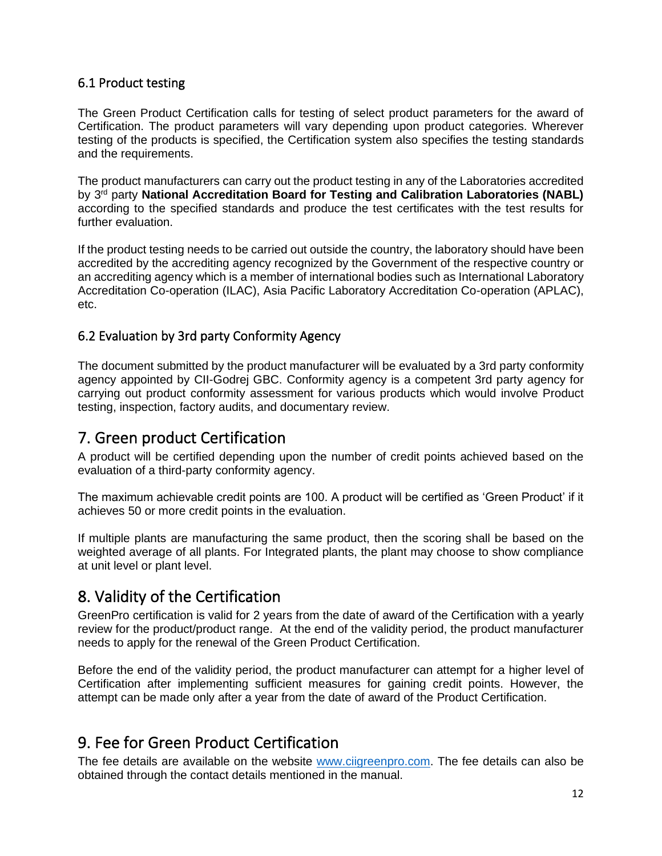### <span id="page-11-0"></span>6.1 Product testing

The Green Product Certification calls for testing of select product parameters for the award of Certification. The product parameters will vary depending upon product categories. Wherever testing of the products is specified, the Certification system also specifies the testing standards and the requirements.

The product manufacturers can carry out the product testing in any of the Laboratories accredited by 3<sup>rd</sup> party National Accreditation Board for Testing and Calibration Laboratories (NABL) according to the specified standards and produce the test certificates with the test results for further evaluation.

If the product testing needs to be carried out outside the country, the laboratory should have been accredited by the accrediting agency recognized by the Government of the respective country or an accrediting agency which is a member of international bodies such as International Laboratory Accreditation Co-operation (ILAC), Asia Pacific Laboratory Accreditation Co-operation (APLAC), etc.

### <span id="page-11-1"></span>6.2 Evaluation by 3rd party Conformity Agency

The document submitted by the product manufacturer will be evaluated by a 3rd party conformity agency appointed by CII-Godrej GBC. Conformity agency is a competent 3rd party agency for carrying out product conformity assessment for various products which would involve Product testing, inspection, factory audits, and documentary review.

### <span id="page-11-2"></span>7. Green product Certification

A product will be certified depending upon the number of credit points achieved based on the evaluation of a third-party conformity agency.

The maximum achievable credit points are 100. A product will be certified as 'Green Product' if it achieves 50 or more credit points in the evaluation.

If multiple plants are manufacturing the same product, then the scoring shall be based on the weighted average of all plants. For Integrated plants, the plant may choose to show compliance at unit level or plant level.

### <span id="page-11-3"></span>8. Validity of the Certification

GreenPro certification is valid for 2 years from the date of award of the Certification with a yearly review for the product/product range. At the end of the validity period, the product manufacturer needs to apply for the renewal of the Green Product Certification.

Before the end of the validity period, the product manufacturer can attempt for a higher level of Certification after implementing sufficient measures for gaining credit points. However, the attempt can be made only after a year from the date of award of the Product Certification.

### <span id="page-11-4"></span>9. Fee for Green Product Certification

The fee details are available on the website [www.ciigreenpro.com.](http://www.ciigreenpro.com/) The fee details can also be obtained through the contact details mentioned in the manual.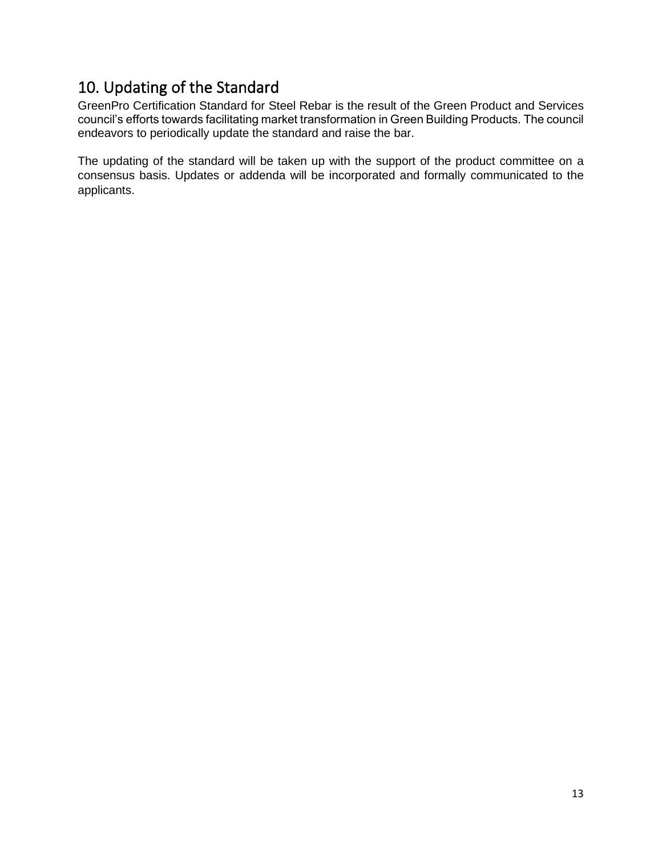### <span id="page-12-0"></span>10. Updating of the Standard

GreenPro Certification Standard for Steel Rebar is the result of the Green Product and Services council's efforts towards facilitating market transformation in Green Building Products. The council endeavors to periodically update the standard and raise the bar.

The updating of the standard will be taken up with the support of the product committee on a consensus basis. Updates or addenda will be incorporated and formally communicated to the applicants.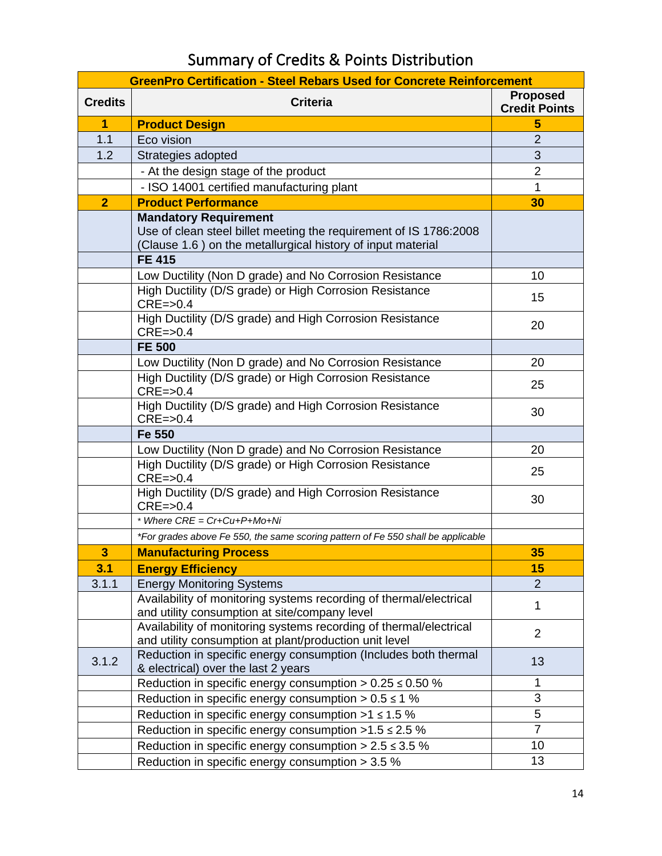# Summary of Credits & Points Distribution

<span id="page-13-0"></span>

| <b>GreenPro Certification - Steel Rebars Used for Concrete Reinforcement</b> |                                                                                                                                                                  |                                         |  |
|------------------------------------------------------------------------------|------------------------------------------------------------------------------------------------------------------------------------------------------------------|-----------------------------------------|--|
| <b>Credits</b>                                                               | <b>Criteria</b>                                                                                                                                                  | <b>Proposed</b><br><b>Credit Points</b> |  |
| 1                                                                            | <b>Product Design</b>                                                                                                                                            | 5                                       |  |
| 1.1                                                                          | Eco vision                                                                                                                                                       | $\overline{2}$                          |  |
| 1.2                                                                          | Strategies adopted                                                                                                                                               | 3                                       |  |
|                                                                              | - At the design stage of the product                                                                                                                             | $\overline{2}$                          |  |
|                                                                              | - ISO 14001 certified manufacturing plant                                                                                                                        | 1                                       |  |
| $\overline{2}$                                                               | <b>Product Performance</b>                                                                                                                                       | 30                                      |  |
|                                                                              | <b>Mandatory Requirement</b><br>Use of clean steel billet meeting the requirement of IS 1786:2008<br>(Clause 1.6) on the metallurgical history of input material |                                         |  |
|                                                                              | <b>FE 415</b>                                                                                                                                                    |                                         |  |
|                                                                              | Low Ductility (Non D grade) and No Corrosion Resistance                                                                                                          | 10                                      |  |
|                                                                              | High Ductility (D/S grade) or High Corrosion Resistance<br>$CRE = > 0.4$                                                                                         | 15                                      |  |
|                                                                              | High Ductility (D/S grade) and High Corrosion Resistance<br>$CRE = > 0.4$                                                                                        | 20                                      |  |
|                                                                              | <b>FE 500</b>                                                                                                                                                    |                                         |  |
|                                                                              | Low Ductility (Non D grade) and No Corrosion Resistance                                                                                                          | 20                                      |  |
|                                                                              | High Ductility (D/S grade) or High Corrosion Resistance<br>$CRE = > 0.4$                                                                                         | 25                                      |  |
|                                                                              | High Ductility (D/S grade) and High Corrosion Resistance<br>$CRE = > 0.4$                                                                                        | 30                                      |  |
|                                                                              | Fe 550                                                                                                                                                           |                                         |  |
|                                                                              | Low Ductility (Non D grade) and No Corrosion Resistance                                                                                                          | 20                                      |  |
|                                                                              | High Ductility (D/S grade) or High Corrosion Resistance<br>$CRE = > 0.4$                                                                                         | 25                                      |  |
|                                                                              | High Ductility (D/S grade) and High Corrosion Resistance<br>$CRE = > 0.4$                                                                                        | 30                                      |  |
|                                                                              | * Where CRE = Cr+Cu+P+Mo+Ni                                                                                                                                      |                                         |  |
|                                                                              | *For grades above Fe 550, the same scoring pattern of Fe 550 shall be applicable                                                                                 |                                         |  |
| 3                                                                            | <b>Manufacturing Process</b>                                                                                                                                     | 35                                      |  |
| 3.1                                                                          | <b>Energy Efficiency</b>                                                                                                                                         | 15                                      |  |
| 3.1.1                                                                        | <b>Energy Monitoring Systems</b>                                                                                                                                 | $\overline{2}$                          |  |
|                                                                              | Availability of monitoring systems recording of thermal/electrical<br>and utility consumption at site/company level                                              | 1                                       |  |
|                                                                              | Availability of monitoring systems recording of thermal/electrical<br>and utility consumption at plant/production unit level                                     | $\overline{2}$                          |  |
| 3.1.2                                                                        | Reduction in specific energy consumption (Includes both thermal<br>& electrical) over the last 2 years                                                           | 13                                      |  |
|                                                                              | Reduction in specific energy consumption $> 0.25 \le 0.50$ %                                                                                                     | 1                                       |  |
|                                                                              | Reduction in specific energy consumption $> 0.5 \le 1$ %                                                                                                         | 3                                       |  |
|                                                                              | Reduction in specific energy consumption $>1$ $\leq$ 1.5 %                                                                                                       | 5                                       |  |
|                                                                              | Reduction in specific energy consumption $>1.5 \le 2.5$ %                                                                                                        | $\overline{7}$                          |  |
|                                                                              | Reduction in specific energy consumption $> 2.5 \le 3.5$ %                                                                                                       | 10                                      |  |
|                                                                              | Reduction in specific energy consumption > 3.5 %                                                                                                                 | 13                                      |  |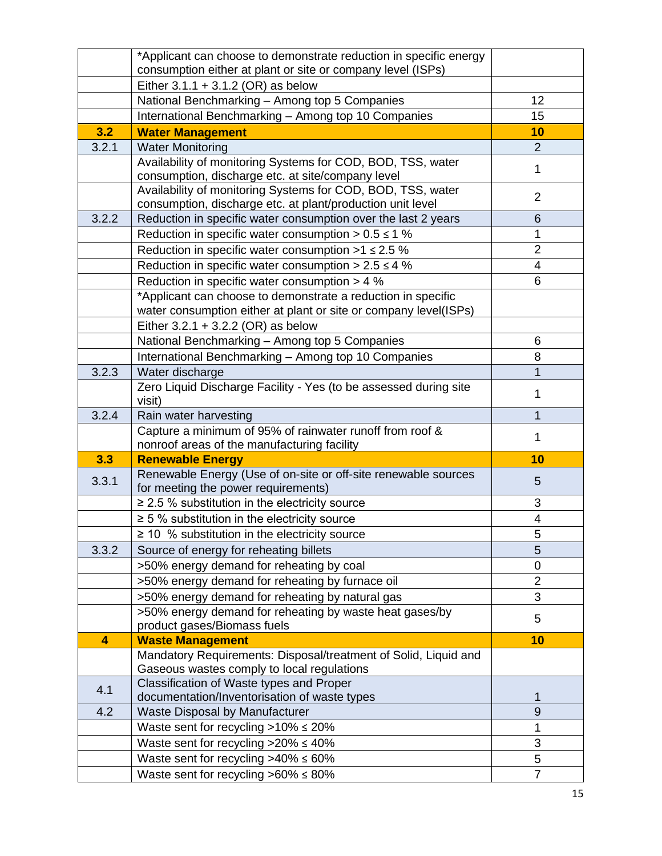|       | *Applicant can choose to demonstrate reduction in specific energy                                                                |                     |
|-------|----------------------------------------------------------------------------------------------------------------------------------|---------------------|
|       | consumption either at plant or site or company level (ISPs)                                                                      |                     |
|       | Either $3.1.1 + 3.1.2$ (OR) as below                                                                                             |                     |
|       | National Benchmarking - Among top 5 Companies                                                                                    | 12                  |
|       | International Benchmarking - Among top 10 Companies                                                                              | 15                  |
| 3.2   | <b>Water Management</b>                                                                                                          | 10                  |
| 3.2.1 | <b>Water Monitoring</b>                                                                                                          | $\overline{2}$      |
|       | Availability of monitoring Systems for COD, BOD, TSS, water<br>consumption, discharge etc. at site/company level                 | 1                   |
|       | Availability of monitoring Systems for COD, BOD, TSS, water                                                                      |                     |
|       | consumption, discharge etc. at plant/production unit level                                                                       | $\overline{2}$      |
| 3.2.2 | Reduction in specific water consumption over the last 2 years                                                                    | $6\phantom{1}6$     |
|       | Reduction in specific water consumption $> 0.5 \le 1$ %                                                                          | 1                   |
|       | Reduction in specific water consumption $>1$ $\leq$ 2.5 %                                                                        | $\overline{2}$      |
|       | Reduction in specific water consumption $> 2.5 \le 4$ %                                                                          | 4                   |
|       | Reduction in specific water consumption > 4 %                                                                                    | 6                   |
|       | *Applicant can choose to demonstrate a reduction in specific<br>water consumption either at plant or site or company level(ISPs) |                     |
|       | Either $3.2.1 + 3.2.2$ (OR) as below                                                                                             |                     |
|       | National Benchmarking - Among top 5 Companies                                                                                    | 6                   |
|       | International Benchmarking - Among top 10 Companies                                                                              | 8                   |
| 3.2.3 | Water discharge                                                                                                                  |                     |
|       | Zero Liquid Discharge Facility - Yes (to be assessed during site                                                                 |                     |
|       | visit)                                                                                                                           | 1                   |
|       |                                                                                                                                  |                     |
| 3.2.4 | Rain water harvesting                                                                                                            | 1                   |
|       | Capture a minimum of 95% of rainwater runoff from roof &                                                                         | 1                   |
|       | nonroof areas of the manufacturing facility                                                                                      |                     |
| 3.3   | <b>Renewable Energy</b>                                                                                                          | 10                  |
| 3.3.1 | Renewable Energy (Use of on-site or off-site renewable sources                                                                   | 5                   |
|       | for meeting the power requirements)<br>$\geq$ 2.5 % substitution in the electricity source                                       | 3                   |
|       | $\geq$ 5 % substitution in the electricity source                                                                                | 4                   |
|       | $\geq$ 10 % substitution in the electricity source                                                                               | 5                   |
| 3.3.2 | Source of energy for reheating billets                                                                                           | 5                   |
|       | >50% energy demand for reheating by coal                                                                                         | $\mathbf 0$         |
|       | >50% energy demand for reheating by furnace oil                                                                                  | $\overline{2}$      |
|       | >50% energy demand for reheating by natural gas                                                                                  | 3                   |
|       | >50% energy demand for reheating by waste heat gases/by                                                                          | 5                   |
|       | product gases/Biomass fuels                                                                                                      |                     |
| 4     | <b>Waste Management</b>                                                                                                          | 10                  |
|       | Mandatory Requirements: Disposal/treatment of Solid, Liquid and<br>Gaseous wastes comply to local regulations                    |                     |
|       | Classification of Waste types and Proper                                                                                         |                     |
| 4.1   | documentation/Inventorisation of waste types                                                                                     | 1                   |
| 4.2   | <b>Waste Disposal by Manufacturer</b>                                                                                            | $\overline{9}$      |
|       | Waste sent for recycling $>10\% \le 20\%$                                                                                        | 1                   |
|       | Waste sent for recycling $>20\% \leq 40\%$                                                                                       | 3                   |
|       | Waste sent for recycling $>40\% \le 60\%$<br>Waste sent for recycling $>60\% \leq 80\%$                                          | 5<br>$\overline{7}$ |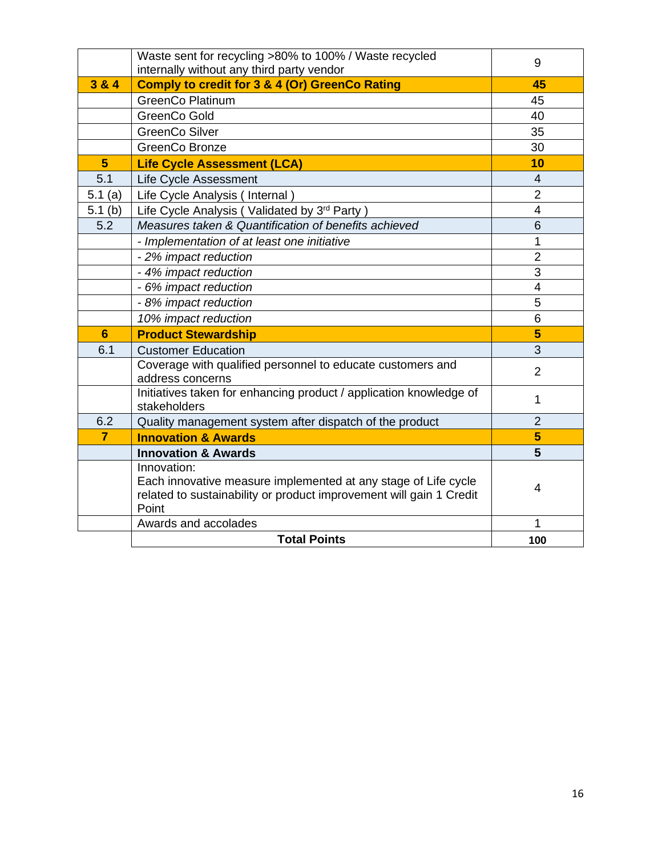|                 | Waste sent for recycling >80% to 100% / Waste recycled<br>internally without any third party vendor                                                           | 9              |
|-----------------|---------------------------------------------------------------------------------------------------------------------------------------------------------------|----------------|
| 3 & 4           | <b>Comply to credit for 3 &amp; 4 (Or) GreenCo Rating</b>                                                                                                     | 45             |
|                 | <b>GreenCo Platinum</b>                                                                                                                                       | 45             |
|                 | GreenCo Gold                                                                                                                                                  | 40             |
|                 | <b>GreenCo Silver</b>                                                                                                                                         | 35             |
|                 | GreenCo Bronze                                                                                                                                                | 30             |
| $5\phantom{.0}$ | <b>Life Cycle Assessment (LCA)</b>                                                                                                                            | 10             |
| 5.1             | Life Cycle Assessment                                                                                                                                         | $\overline{4}$ |
| 5.1 $(a)$       | Life Cycle Analysis (Internal)                                                                                                                                | $\overline{2}$ |
| 5.1 $(b)$       | Life Cycle Analysis (Validated by 3rd Party)                                                                                                                  | $\overline{4}$ |
| 5.2             | Measures taken & Quantification of benefits achieved                                                                                                          | 6              |
|                 | - Implementation of at least one initiative                                                                                                                   | 1              |
|                 | - 2% impact reduction                                                                                                                                         | $\overline{2}$ |
|                 | - 4% impact reduction                                                                                                                                         | 3              |
|                 | - 6% impact reduction                                                                                                                                         | $\overline{4}$ |
|                 | - 8% impact reduction                                                                                                                                         | 5              |
|                 | 10% impact reduction                                                                                                                                          | 6              |
| $6\phantom{1}$  | <b>Product Stewardship</b>                                                                                                                                    | 5              |
| 6.1             | <b>Customer Education</b>                                                                                                                                     | 3              |
|                 | Coverage with qualified personnel to educate customers and<br>address concerns                                                                                | $\overline{2}$ |
|                 | Initiatives taken for enhancing product / application knowledge of<br>stakeholders                                                                            | 1              |
| 6.2             | Quality management system after dispatch of the product                                                                                                       | $\overline{2}$ |
| $\overline{7}$  | <b>Innovation &amp; Awards</b>                                                                                                                                | 5              |
|                 | <b>Innovation &amp; Awards</b>                                                                                                                                | 5              |
|                 | Innovation:<br>Each innovative measure implemented at any stage of Life cycle<br>related to sustainability or product improvement will gain 1 Credit<br>Point | 4              |
|                 | Awards and accolades                                                                                                                                          | 1              |
|                 | <b>Total Points</b>                                                                                                                                           | 100            |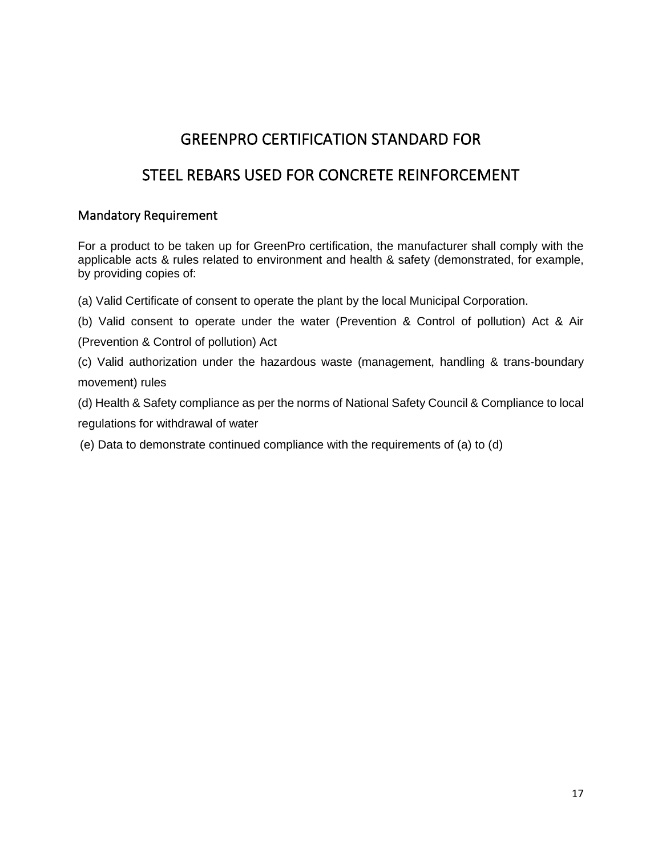### GREENPRO CERTIFICATION STANDARD FOR

### <span id="page-16-0"></span>STEEL REBARS USED FOR CONCRETE REINFORCEMENT

#### <span id="page-16-2"></span><span id="page-16-1"></span>Mandatory Requirement

For a product to be taken up for GreenPro certification, the manufacturer shall comply with the applicable acts & rules related to environment and health & safety (demonstrated, for example, by providing copies of:

- (a) Valid Certificate of consent to operate the plant by the local Municipal Corporation.
- (b) Valid consent to operate under the water (Prevention & Control of pollution) Act & Air
- (Prevention & Control of pollution) Act
- (c) Valid authorization under the hazardous waste (management, handling & trans-boundary movement) rules
- (d) Health & Safety compliance as per the norms of National Safety Council & Compliance to local

regulations for withdrawal of water

(e) Data to demonstrate continued compliance with the requirements of (a) to (d)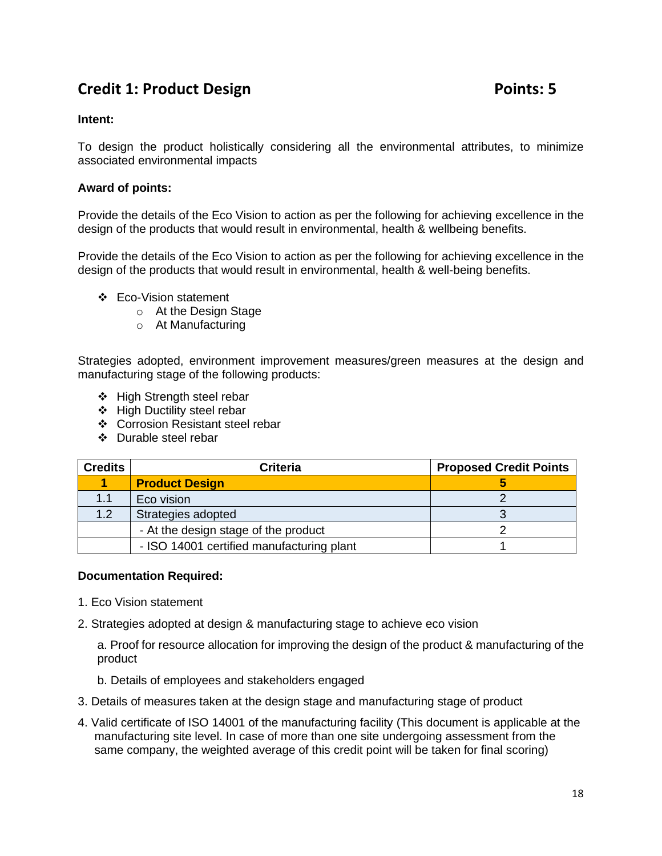### <span id="page-17-0"></span>**Credit 1: Product Design Credit 1: Product Design Points: 5**

#### **Intent:**

To design the product holistically considering all the environmental attributes, to minimize associated environmental impacts

#### **Award of points:**

Provide the details of the Eco Vision to action as per the following for achieving excellence in the design of the products that would result in environmental, health & wellbeing benefits.

Provide the details of the Eco Vision to action as per the following for achieving excellence in the design of the products that would result in environmental, health & well-being benefits.

- ❖ Eco-Vision statement
	- o At the Design Stage
	- o At Manufacturing

Strategies adopted, environment improvement measures/green measures at the design and manufacturing stage of the following products:

- ❖ High Strength steel rebar
- ❖ High Ductility steel rebar
- ❖ Corrosion Resistant steel rebar
- ❖ Durable steel rebar

| <b>Credits</b> | <b>Criteria</b>                           | <b>Proposed Credit Points</b> |
|----------------|-------------------------------------------|-------------------------------|
|                | <b>Product Design</b>                     |                               |
| 1.1            | Eco vision                                |                               |
| 1.2            | Strategies adopted                        |                               |
|                | - At the design stage of the product      |                               |
|                | - ISO 14001 certified manufacturing plant |                               |

#### **Documentation Required:**

- 1. Eco Vision statement
- 2. Strategies adopted at design & manufacturing stage to achieve eco vision

a. Proof for resource allocation for improving the design of the product & manufacturing of the product

- b. Details of employees and stakeholders engaged
- 3. Details of measures taken at the design stage and manufacturing stage of product
- 4. Valid certificate of ISO 14001 of the manufacturing facility (This document is applicable at the manufacturing site level. In case of more than one site undergoing assessment from the same company, the weighted average of this credit point will be taken for final scoring)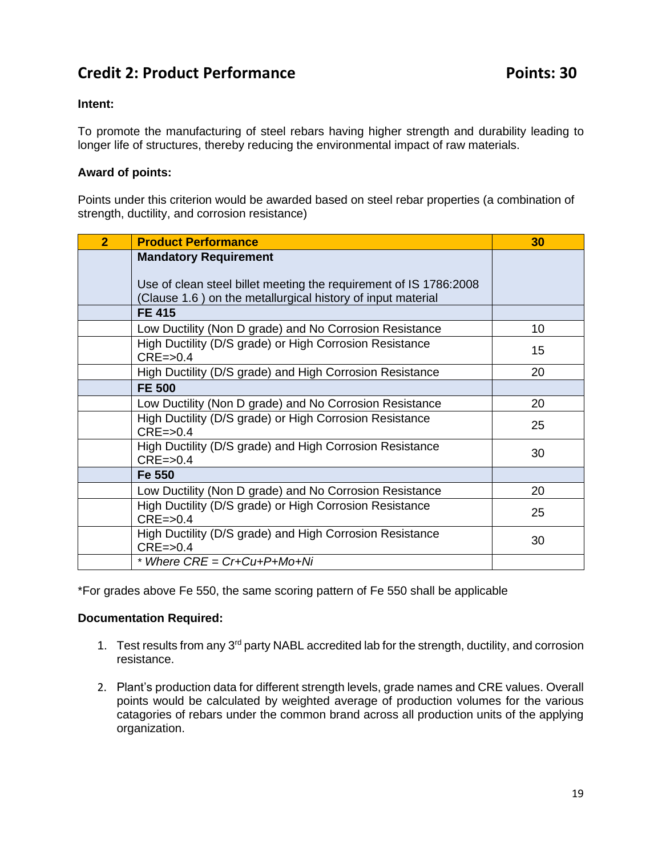### <span id="page-18-0"></span>**Credit 2: Product Performance Points: 30**

#### **Intent:**

To promote the manufacturing of steel rebars having higher strength and durability leading to longer life of structures, thereby reducing the environmental impact of raw materials.

#### **Award of points:**

Points under this criterion would be awarded based on steel rebar properties (a combination of strength, ductility, and corrosion resistance)

| $\overline{2}$ | <b>Product Performance</b>                                                                                                       | 30 |
|----------------|----------------------------------------------------------------------------------------------------------------------------------|----|
|                | <b>Mandatory Requirement</b>                                                                                                     |    |
|                | Use of clean steel billet meeting the requirement of IS 1786:2008<br>(Clause 1.6) on the metallurgical history of input material |    |
|                | <b>FE 415</b>                                                                                                                    |    |
|                | Low Ductility (Non D grade) and No Corrosion Resistance                                                                          | 10 |
|                | High Ductility (D/S grade) or High Corrosion Resistance<br>$CRE = > 0.4$                                                         | 15 |
|                | High Ductility (D/S grade) and High Corrosion Resistance                                                                         | 20 |
|                | <b>FE 500</b>                                                                                                                    |    |
|                | Low Ductility (Non D grade) and No Corrosion Resistance                                                                          | 20 |
|                | High Ductility (D/S grade) or High Corrosion Resistance<br>$CRE = > 0.4$                                                         | 25 |
|                | High Ductility (D/S grade) and High Corrosion Resistance<br>$CRE = > 0.4$                                                        | 30 |
|                | Fe 550                                                                                                                           |    |
|                | Low Ductility (Non D grade) and No Corrosion Resistance                                                                          | 20 |
|                | High Ductility (D/S grade) or High Corrosion Resistance<br>$CRE = > 0.4$                                                         | 25 |
|                | High Ductility (D/S grade) and High Corrosion Resistance<br>$CRE = > 0.4$                                                        | 30 |
|                | * Where $CRE = Cr+Cu+P+Mo+Ni$                                                                                                    |    |

\*For grades above Fe 550, the same scoring pattern of Fe 550 shall be applicable

#### **Documentation Required:**

- 1. Test results from any 3<sup>rd</sup> party NABL accredited lab for the strength, ductility, and corrosion resistance.
- 2. Plant's production data for different strength levels, grade names and CRE values. Overall points would be calculated by weighted average of production volumes for the various catagories of rebars under the common brand across all production units of the applying organization.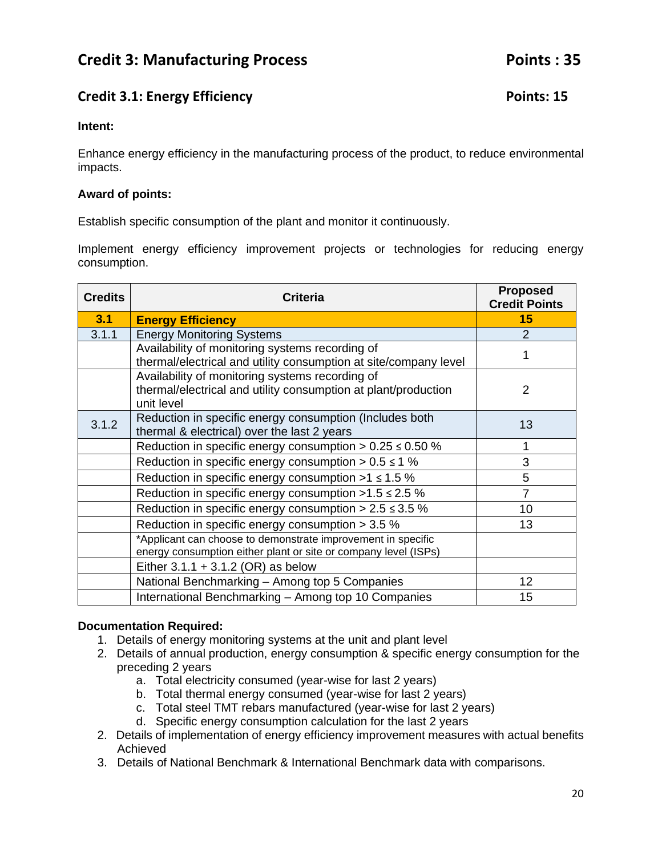### <span id="page-19-1"></span><span id="page-19-0"></span>**Credit 3.1: Energy Efficiency Credit 3.1: Energy Efficiency**

#### **Intent:**

Enhance energy efficiency in the manufacturing process of the product, to reduce environmental impacts.

#### **Award of points:**

Establish specific consumption of the plant and monitor it continuously.

Implement energy efficiency improvement projects or technologies for reducing energy consumption.

| <b>Credits</b> | <b>Criteria</b>                                                                                                                 | <b>Proposed</b><br><b>Credit Points</b> |
|----------------|---------------------------------------------------------------------------------------------------------------------------------|-----------------------------------------|
| 3.1            | <b>Energy Efficiency</b>                                                                                                        | 15                                      |
| 3.1.1          | <b>Energy Monitoring Systems</b>                                                                                                | 2                                       |
|                | Availability of monitoring systems recording of<br>thermal/electrical and utility consumption at site/company level             |                                         |
|                | Availability of monitoring systems recording of<br>thermal/electrical and utility consumption at plant/production<br>unit level | 2                                       |
| 3.1.2          | Reduction in specific energy consumption (Includes both<br>thermal & electrical) over the last 2 years                          | 13                                      |
|                | Reduction in specific energy consumption $> 0.25 \le 0.50$ %                                                                    | 1                                       |
|                | Reduction in specific energy consumption $> 0.5 \le 1$ %                                                                        | 3                                       |
|                | Reduction in specific energy consumption $>1$ $\leq$ 1.5 %                                                                      | 5                                       |
|                | Reduction in specific energy consumption $>1.5 \le 2.5$ %                                                                       | $\overline{7}$                          |
|                | Reduction in specific energy consumption $> 2.5 \le 3.5$ %                                                                      | 10 <sup>1</sup>                         |
|                | Reduction in specific energy consumption $>$ 3.5 %                                                                              | 13                                      |
|                | *Applicant can choose to demonstrate improvement in specific<br>energy consumption either plant or site or company level (ISPs) |                                         |
|                | Either $3.1.1 + 3.1.2$ (OR) as below                                                                                            |                                         |
|                | National Benchmarking - Among top 5 Companies                                                                                   | 12                                      |
|                | International Benchmarking - Among top 10 Companies                                                                             | 15                                      |

#### **Documentation Required:**

- 1. Details of energy monitoring systems at the unit and plant level
- 2. Details of annual production, energy consumption & specific energy consumption for the preceding 2 years
	- a. Total electricity consumed (year-wise for last 2 years)
	- b. Total thermal energy consumed (year-wise for last 2 years)
	- c. Total steel TMT rebars manufactured (year-wise for last 2 years)
	- d. Specific energy consumption calculation for the last 2 years
- 2. Details of implementation of energy efficiency improvement measures with actual benefits Achieved
- 3. Details of National Benchmark & International Benchmark data with comparisons.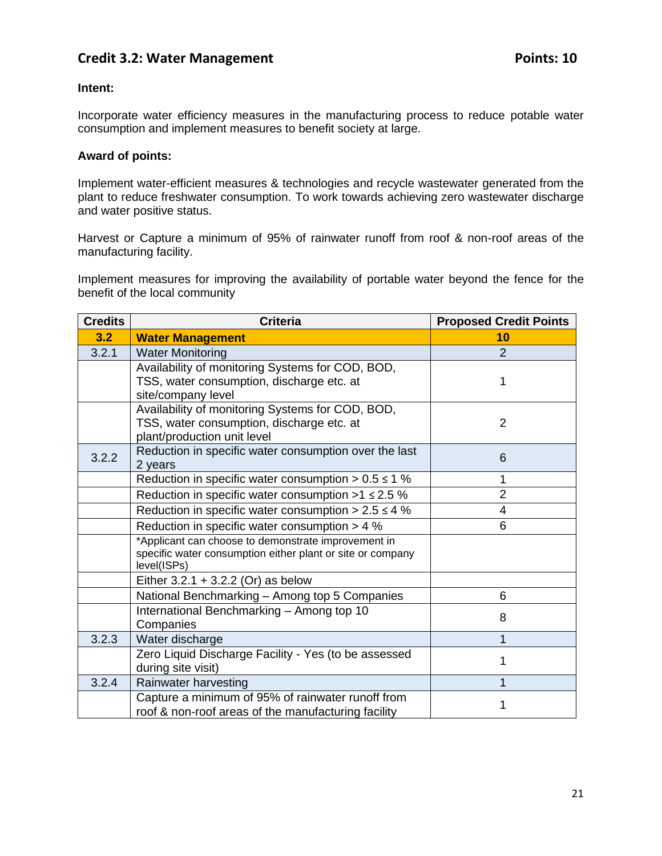### <span id="page-20-0"></span>**Credit 3.2: Water Management Credit 3.2: Water Management**

#### **Intent:**

Incorporate water efficiency measures in the manufacturing process to reduce potable water consumption and implement measures to benefit society at large.

#### **Award of points:**

Implement water-efficient measures & technologies and recycle wastewater generated from the plant to reduce freshwater consumption. To work towards achieving zero wastewater discharge and water positive status.

Harvest or Capture a minimum of 95% of rainwater runoff from roof & non-roof areas of the manufacturing facility.

Implement measures for improving the availability of portable water beyond the fence for the benefit of the local community

| <b>Credits</b> | <b>Criteria</b>                                                                                                                  | <b>Proposed Credit Points</b> |
|----------------|----------------------------------------------------------------------------------------------------------------------------------|-------------------------------|
| 3.2            | <b>Water Management</b>                                                                                                          | 10                            |
| 3.2.1          | <b>Water Monitoring</b>                                                                                                          | $\overline{2}$                |
|                | Availability of monitoring Systems for COD, BOD,<br>TSS, water consumption, discharge etc. at<br>site/company level              | 1                             |
|                | Availability of monitoring Systems for COD, BOD,<br>TSS, water consumption, discharge etc. at<br>plant/production unit level     | $\overline{2}$                |
| 3.2.2          | Reduction in specific water consumption over the last<br>2 years                                                                 | 6                             |
|                | Reduction in specific water consumption $> 0.5 \le 1$ %                                                                          | 1                             |
|                | Reduction in specific water consumption $>1$ $\leq$ 2.5 %                                                                        | $\overline{2}$                |
|                | Reduction in specific water consumption $> 2.5 \le 4 \%$                                                                         | $\overline{4}$                |
|                | Reduction in specific water consumption $> 4$ %                                                                                  | 6                             |
|                | *Applicant can choose to demonstrate improvement in<br>specific water consumption either plant or site or company<br>level(ISPs) |                               |
|                | Either $3.2.1 + 3.2.2$ (Or) as below                                                                                             |                               |
|                | National Benchmarking - Among top 5 Companies                                                                                    | 6                             |
|                | International Benchmarking - Among top 10<br>Companies                                                                           | 8                             |
| 3.2.3          | Water discharge                                                                                                                  | 1                             |
|                | Zero Liquid Discharge Facility - Yes (to be assessed<br>during site visit)                                                       | 1                             |
| 3.2.4          | Rainwater harvesting                                                                                                             | 1                             |
|                | Capture a minimum of 95% of rainwater runoff from<br>roof & non-roof areas of the manufacturing facility                         | 1                             |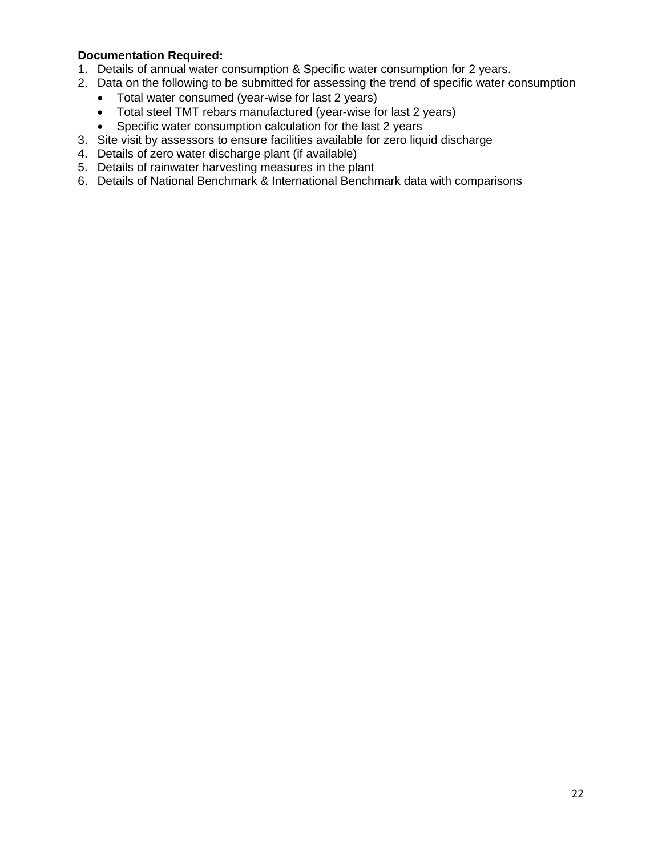#### **Documentation Required:**

- 1. Details of annual water consumption & Specific water consumption for 2 years.
- 2. Data on the following to be submitted for assessing the trend of specific water consumption
	- Total water consumed (year-wise for last 2 years)
	- Total steel TMT rebars manufactured (year-wise for last 2 years)
	- Specific water consumption calculation for the last 2 years
- 3. Site visit by assessors to ensure facilities available for zero liquid discharge
- 4. Details of zero water discharge plant (if available)
- 5. Details of rainwater harvesting measures in the plant
- 6. Details of National Benchmark & International Benchmark data with comparisons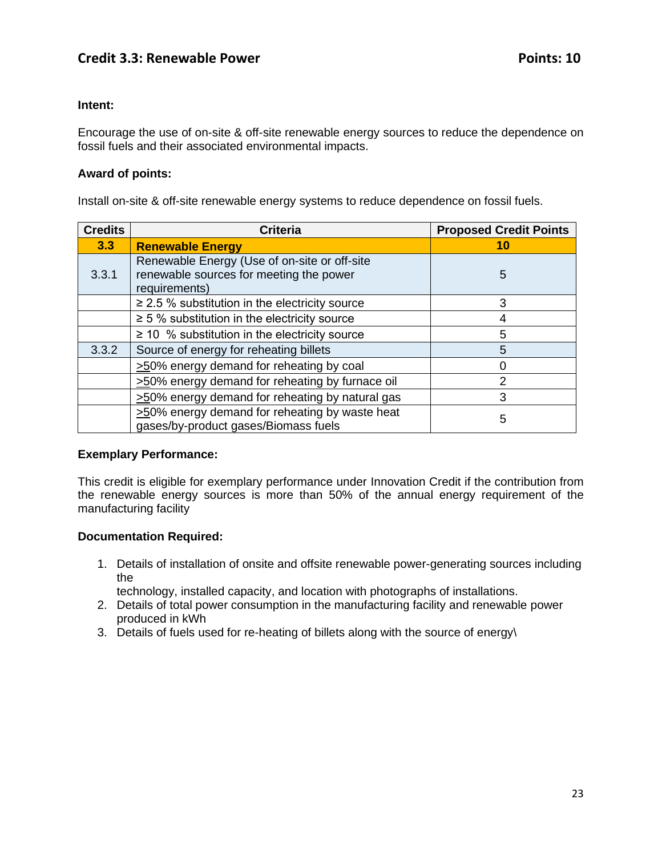#### <span id="page-22-0"></span>**Intent:**

Encourage the use of on-site & off-site renewable energy sources to reduce the dependence on fossil fuels and their associated environmental impacts.

#### **Award of points:**

Install on-site & off-site renewable energy systems to reduce dependence on fossil fuels.

| <b>Credits</b> | <b>Criteria</b>                                                                                          | <b>Proposed Credit Points</b> |
|----------------|----------------------------------------------------------------------------------------------------------|-------------------------------|
| 3.3            | <b>Renewable Energy</b>                                                                                  | 10                            |
| 3.3.1          | Renewable Energy (Use of on-site or off-site<br>renewable sources for meeting the power<br>requirements) | 5                             |
|                | $\geq$ 2.5 % substitution in the electricity source                                                      | 3                             |
|                | $\geq$ 5 % substitution in the electricity source                                                        | 4                             |
|                | $\geq$ 10 % substitution in the electricity source                                                       | 5                             |
| 3.3.2          | Source of energy for reheating billets                                                                   | 5                             |
|                | >50% energy demand for reheating by coal                                                                 | 0                             |
|                | >50% energy demand for reheating by furnace oil                                                          | 2                             |
|                | >50% energy demand for reheating by natural gas                                                          | 3                             |
|                | >50% energy demand for reheating by waste heat<br>gases/by-product gases/Biomass fuels                   | 5                             |

#### **Exemplary Performance:**

This credit is eligible for exemplary performance under Innovation Credit if the contribution from the renewable energy sources is more than 50% of the annual energy requirement of the manufacturing facility

#### **Documentation Required:**

1. Details of installation of onsite and offsite renewable power-generating sources including the

technology, installed capacity, and location with photographs of installations.

- 2. Details of total power consumption in the manufacturing facility and renewable power produced in kWh
- <span id="page-22-1"></span>3. Details of fuels used for re-heating of billets along with the source of energy\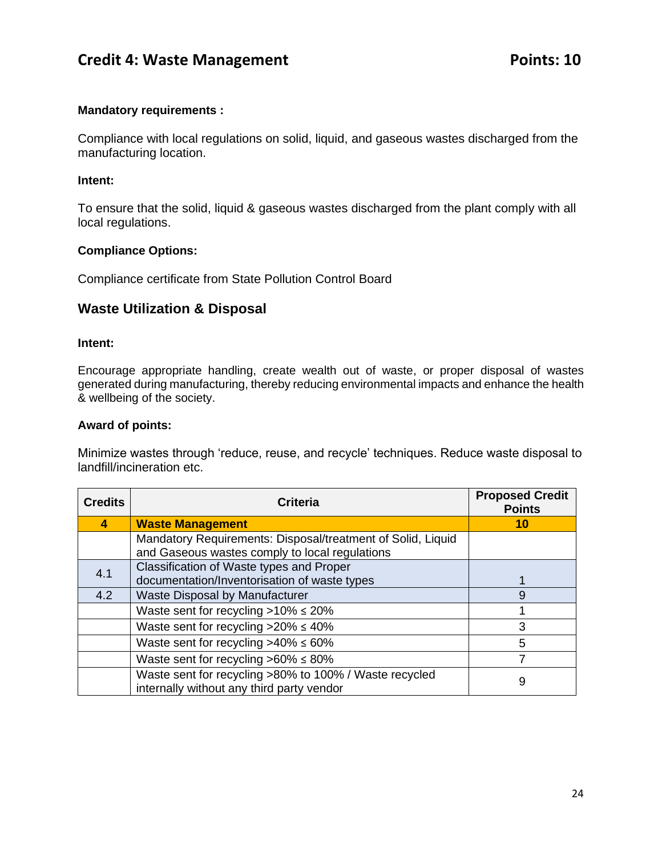### **Credit 4: Waste Management Points: 10**

#### **Mandatory requirements :**

Compliance with local regulations on solid, liquid, and gaseous wastes discharged from the manufacturing location.

#### **Intent:**

To ensure that the solid, liquid & gaseous wastes discharged from the plant comply with all local regulations.

#### **Compliance Options:**

Compliance certificate from State Pollution Control Board

### **Waste Utilization & Disposal**

#### **Intent:**

Encourage appropriate handling, create wealth out of waste, or proper disposal of wastes generated during manufacturing, thereby reducing environmental impacts and enhance the health & wellbeing of the society.

#### **Award of points:**

Minimize wastes through 'reduce, reuse, and recycle' techniques. Reduce waste disposal to landfill/incineration etc.

| <b>Credits</b> | <b>Criteria</b>                                                                                               | <b>Proposed Credit</b><br><b>Points</b> |
|----------------|---------------------------------------------------------------------------------------------------------------|-----------------------------------------|
| 4              | <b>Waste Management</b>                                                                                       | 10                                      |
|                | Mandatory Requirements: Disposal/treatment of Solid, Liquid<br>and Gaseous wastes comply to local regulations |                                         |
| 4.1            | Classification of Waste types and Proper<br>documentation/Inventorisation of waste types                      |                                         |
| 4.2            | Waste Disposal by Manufacturer                                                                                | 9                                       |
|                | Waste sent for recycling $>10\% \le 20\%$                                                                     |                                         |
|                | Waste sent for recycling $>20\% \leq 40\%$                                                                    | 3                                       |
|                | Waste sent for recycling $>40\% \leq 60\%$                                                                    | 5                                       |
|                | Waste sent for recycling $>60\% \leq 80\%$                                                                    |                                         |
|                | Waste sent for recycling >80% to 100% / Waste recycled<br>internally without any third party vendor           | 9                                       |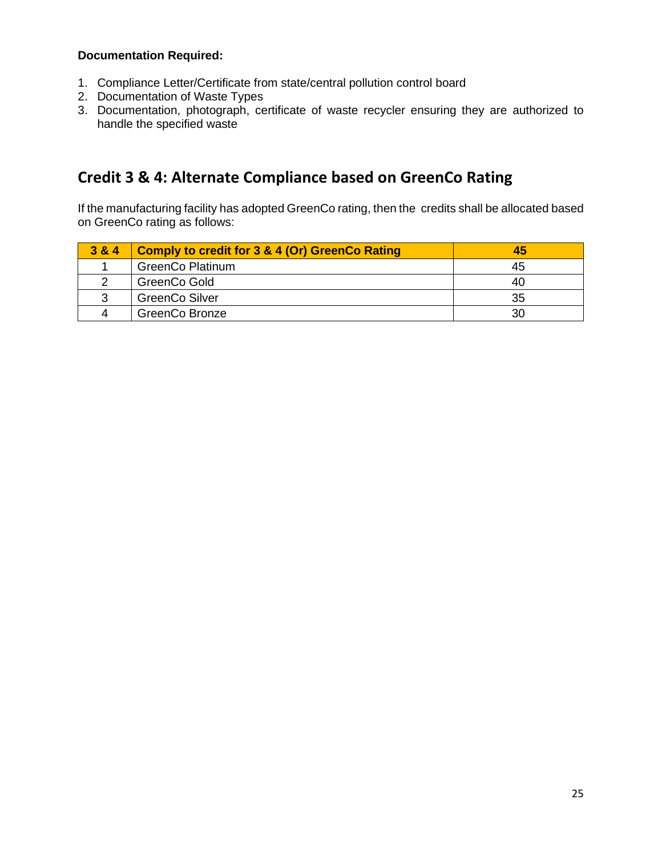#### **Documentation Required:**

- 1. Compliance Letter/Certificate from state/central pollution control board
- 2. Documentation of Waste Types
- 3. Documentation, photograph, certificate of waste recycler ensuring they are authorized to handle the specified waste

### **Credit 3 & 4: Alternate Compliance based on GreenCo Rating**

If the manufacturing facility has adopted GreenCo rating, then the credits shall be allocated based on GreenCo rating as follows:

| 3 & 4 | Comply to credit for 3 & 4 (Or) GreenCo Rating | 45 |
|-------|------------------------------------------------|----|
|       | <b>GreenCo Platinum</b>                        | 45 |
|       | GreenCo Gold                                   | 40 |
| ີ     | <b>GreenCo Silver</b>                          | 35 |
|       | <b>GreenCo Bronze</b>                          | 30 |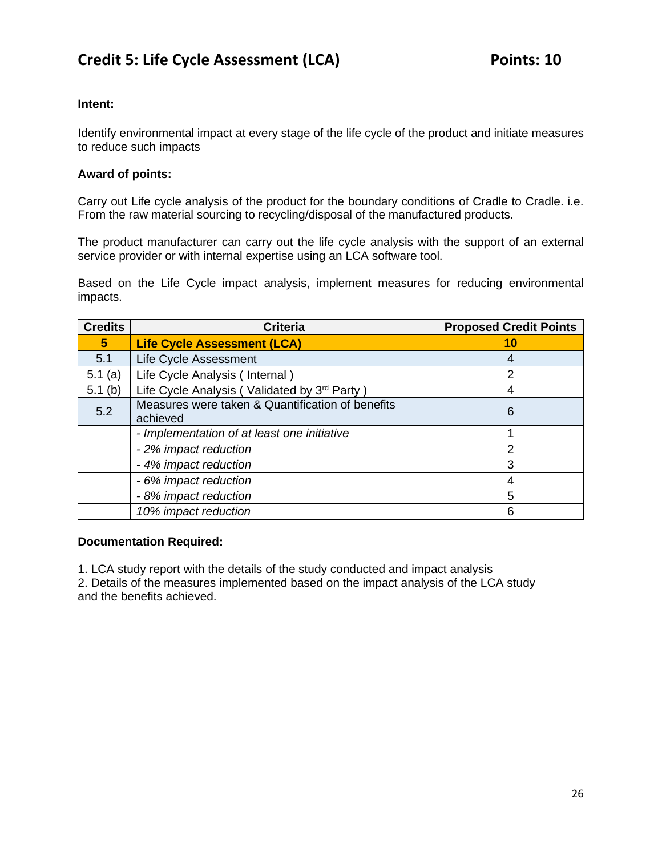#### <span id="page-25-0"></span>**Intent:**

Identify environmental impact at every stage of the life cycle of the product and initiate measures to reduce such impacts

#### **Award of points:**

Carry out Life cycle analysis of the product for the boundary conditions of Cradle to Cradle. i.e. From the raw material sourcing to recycling/disposal of the manufactured products.

The product manufacturer can carry out the life cycle analysis with the support of an external service provider or with internal expertise using an LCA software tool.

Based on the Life Cycle impact analysis, implement measures for reducing environmental impacts.

| <b>Credits</b> | <b>Criteria</b>                                              | <b>Proposed Credit Points</b> |
|----------------|--------------------------------------------------------------|-------------------------------|
| 5              | <b>Life Cycle Assessment (LCA)</b>                           | 10                            |
| 5.1            | Life Cycle Assessment                                        | 4                             |
| 5.1(a)         | Life Cycle Analysis (Internal)                               | $\mathcal{P}$                 |
| 5.1(b)         | Life Cycle Analysis (Validated by 3rd Party)                 |                               |
| 5.2            | Measures were taken & Quantification of benefits<br>achieved | 6                             |
|                | - Implementation of at least one initiative                  |                               |
|                | - 2% impact reduction                                        | $\mathcal{P}$                 |
|                | - 4% impact reduction                                        | 3                             |
|                | - 6% impact reduction                                        |                               |
|                | - 8% impact reduction                                        | 5                             |
|                | 10% impact reduction                                         | 6                             |

#### **Documentation Required:**

1. LCA study report with the details of the study conducted and impact analysis

2. Details of the measures implemented based on the impact analysis of the LCA study and the benefits achieved.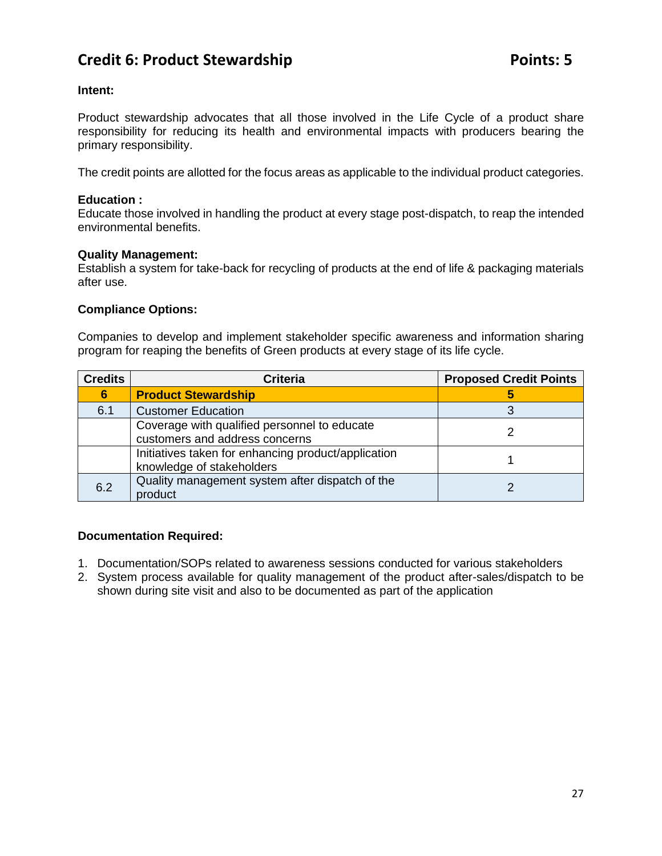### **Credit 6: Product Stewardship Credit 6: Product Stewardship**

#### **Intent:**

Product stewardship advocates that all those involved in the Life Cycle of a product share responsibility for reducing its health and environmental impacts with producers bearing the primary responsibility.

The credit points are allotted for the focus areas as applicable to the individual product categories.

#### **Education :**

Educate those involved in handling the product at every stage post-dispatch, to reap the intended environmental benefits.

#### **Quality Management:**

Establish a system for take-back for recycling of products at the end of life & packaging materials after use.

#### **Compliance Options:**

Companies to develop and implement stakeholder specific awareness and information sharing program for reaping the benefits of Green products at every stage of its life cycle.

| <b>Credits</b> | <b>Criteria</b>                                                                  | <b>Proposed Credit Points</b> |
|----------------|----------------------------------------------------------------------------------|-------------------------------|
| 6              | <b>Product Stewardship</b>                                                       |                               |
| 6.1            | <b>Customer Education</b>                                                        |                               |
|                | Coverage with qualified personnel to educate<br>customers and address concerns   |                               |
|                | Initiatives taken for enhancing product/application<br>knowledge of stakeholders |                               |
| 6.2            | Quality management system after dispatch of the<br>product                       |                               |

#### **Documentation Required:**

- 1. Documentation/SOPs related to awareness sessions conducted for various stakeholders
- 2. System process available for quality management of the product after-sales/dispatch to be shown during site visit and also to be documented as part of the application